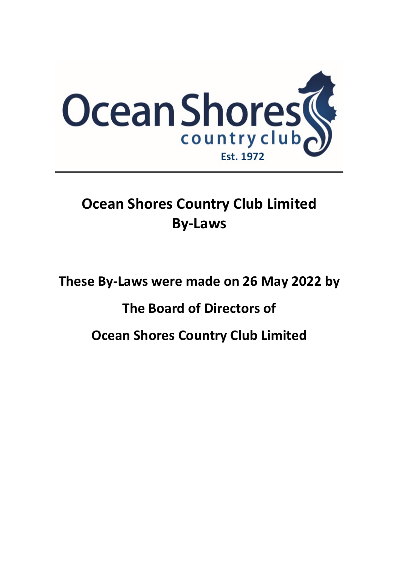

# **Ocean Shores Country Club Limited By-Laws**

**These By-Laws were made on 26 May 2022 by**

## **The Board of Directors of**

**Ocean Shores Country Club Limited**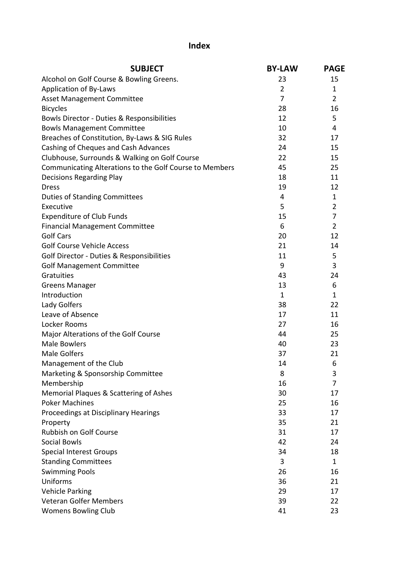## **Index**

| Alcohol on Golf Course & Bowling Greens.<br>23<br>15<br><b>Application of By-Laws</b><br>$\overline{2}$<br>1<br>7<br>$\overline{2}$<br><b>Asset Management Committee</b><br>16<br><b>Bicycles</b><br>28<br>12<br>5<br>Bowls Director - Duties & Responsibilities<br>10<br>4<br><b>Bowls Management Committee</b><br>Breaches of Constitution, By-Laws & SIG Rules<br>32<br>17<br>Cashing of Cheques and Cash Advances<br>24<br>15<br>Clubhouse, Surrounds & Walking on Golf Course<br>22<br>15<br>Communicating Alterations to the Golf Course to Members<br>25<br>45<br>18<br>11<br><b>Decisions Regarding Play</b><br>12<br>19<br><b>Dress</b><br><b>Duties of Standing Committees</b><br>4<br>$\mathbf{1}$<br>$\overline{2}$<br>5<br>Executive<br>7<br><b>Expenditure of Club Funds</b><br>15<br>6<br>$\overline{2}$<br><b>Financial Management Committee</b><br><b>Golf Cars</b><br>20<br>12<br><b>Golf Course Vehicle Access</b><br>21<br>14<br>Golf Director - Duties & Responsibilities<br>5<br>11<br>9<br>3<br><b>Golf Management Committee</b><br>Gratuities<br>43<br>24<br>6<br><b>Greens Manager</b><br>13<br>Introduction<br>$\mathbf{1}$<br>1<br>Lady Golfers<br>38<br>22<br>Leave of Absence<br>17<br>11<br>Locker Rooms<br>27<br>16<br>Major Alterations of the Golf Course<br>25<br>44<br><b>Male Bowlers</b><br>40<br>23<br><b>Male Golfers</b><br>21<br>37<br>Management of the Club<br>6<br>14<br>8<br>3<br>Marketing & Sponsorship Committee<br>Membership<br>7<br>16<br>Memorial Plaques & Scattering of Ashes<br>30<br>17<br><b>Poker Machines</b><br>25<br>16<br>Proceedings at Disciplinary Hearings<br>33<br>17<br>35<br>21<br>Property<br>Rubbish on Golf Course<br>17<br>31<br><b>Social Bowls</b><br>42<br>24<br><b>Special Interest Groups</b><br>18<br>34<br><b>Standing Committees</b><br>3<br>$\mathbf{1}$<br><b>Swimming Pools</b><br>16<br>26<br>Uniforms<br>21<br>36<br><b>Vehicle Parking</b><br>17<br>29 | <b>SUBJECT</b>                | <b>BY-LAW</b> | <b>PAGE</b> |
|-----------------------------------------------------------------------------------------------------------------------------------------------------------------------------------------------------------------------------------------------------------------------------------------------------------------------------------------------------------------------------------------------------------------------------------------------------------------------------------------------------------------------------------------------------------------------------------------------------------------------------------------------------------------------------------------------------------------------------------------------------------------------------------------------------------------------------------------------------------------------------------------------------------------------------------------------------------------------------------------------------------------------------------------------------------------------------------------------------------------------------------------------------------------------------------------------------------------------------------------------------------------------------------------------------------------------------------------------------------------------------------------------------------------------------------------------------------------------------------------------------------------------------------------------------------------------------------------------------------------------------------------------------------------------------------------------------------------------------------------------------------------------------------------------------------------------------------------------------------------------------------------------------------------------------------------------|-------------------------------|---------------|-------------|
|                                                                                                                                                                                                                                                                                                                                                                                                                                                                                                                                                                                                                                                                                                                                                                                                                                                                                                                                                                                                                                                                                                                                                                                                                                                                                                                                                                                                                                                                                                                                                                                                                                                                                                                                                                                                                                                                                                                                               |                               |               |             |
|                                                                                                                                                                                                                                                                                                                                                                                                                                                                                                                                                                                                                                                                                                                                                                                                                                                                                                                                                                                                                                                                                                                                                                                                                                                                                                                                                                                                                                                                                                                                                                                                                                                                                                                                                                                                                                                                                                                                               |                               |               |             |
|                                                                                                                                                                                                                                                                                                                                                                                                                                                                                                                                                                                                                                                                                                                                                                                                                                                                                                                                                                                                                                                                                                                                                                                                                                                                                                                                                                                                                                                                                                                                                                                                                                                                                                                                                                                                                                                                                                                                               |                               |               |             |
|                                                                                                                                                                                                                                                                                                                                                                                                                                                                                                                                                                                                                                                                                                                                                                                                                                                                                                                                                                                                                                                                                                                                                                                                                                                                                                                                                                                                                                                                                                                                                                                                                                                                                                                                                                                                                                                                                                                                               |                               |               |             |
|                                                                                                                                                                                                                                                                                                                                                                                                                                                                                                                                                                                                                                                                                                                                                                                                                                                                                                                                                                                                                                                                                                                                                                                                                                                                                                                                                                                                                                                                                                                                                                                                                                                                                                                                                                                                                                                                                                                                               |                               |               |             |
|                                                                                                                                                                                                                                                                                                                                                                                                                                                                                                                                                                                                                                                                                                                                                                                                                                                                                                                                                                                                                                                                                                                                                                                                                                                                                                                                                                                                                                                                                                                                                                                                                                                                                                                                                                                                                                                                                                                                               |                               |               |             |
|                                                                                                                                                                                                                                                                                                                                                                                                                                                                                                                                                                                                                                                                                                                                                                                                                                                                                                                                                                                                                                                                                                                                                                                                                                                                                                                                                                                                                                                                                                                                                                                                                                                                                                                                                                                                                                                                                                                                               |                               |               |             |
|                                                                                                                                                                                                                                                                                                                                                                                                                                                                                                                                                                                                                                                                                                                                                                                                                                                                                                                                                                                                                                                                                                                                                                                                                                                                                                                                                                                                                                                                                                                                                                                                                                                                                                                                                                                                                                                                                                                                               |                               |               |             |
|                                                                                                                                                                                                                                                                                                                                                                                                                                                                                                                                                                                                                                                                                                                                                                                                                                                                                                                                                                                                                                                                                                                                                                                                                                                                                                                                                                                                                                                                                                                                                                                                                                                                                                                                                                                                                                                                                                                                               |                               |               |             |
|                                                                                                                                                                                                                                                                                                                                                                                                                                                                                                                                                                                                                                                                                                                                                                                                                                                                                                                                                                                                                                                                                                                                                                                                                                                                                                                                                                                                                                                                                                                                                                                                                                                                                                                                                                                                                                                                                                                                               |                               |               |             |
|                                                                                                                                                                                                                                                                                                                                                                                                                                                                                                                                                                                                                                                                                                                                                                                                                                                                                                                                                                                                                                                                                                                                                                                                                                                                                                                                                                                                                                                                                                                                                                                                                                                                                                                                                                                                                                                                                                                                               |                               |               |             |
|                                                                                                                                                                                                                                                                                                                                                                                                                                                                                                                                                                                                                                                                                                                                                                                                                                                                                                                                                                                                                                                                                                                                                                                                                                                                                                                                                                                                                                                                                                                                                                                                                                                                                                                                                                                                                                                                                                                                               |                               |               |             |
|                                                                                                                                                                                                                                                                                                                                                                                                                                                                                                                                                                                                                                                                                                                                                                                                                                                                                                                                                                                                                                                                                                                                                                                                                                                                                                                                                                                                                                                                                                                                                                                                                                                                                                                                                                                                                                                                                                                                               |                               |               |             |
|                                                                                                                                                                                                                                                                                                                                                                                                                                                                                                                                                                                                                                                                                                                                                                                                                                                                                                                                                                                                                                                                                                                                                                                                                                                                                                                                                                                                                                                                                                                                                                                                                                                                                                                                                                                                                                                                                                                                               |                               |               |             |
|                                                                                                                                                                                                                                                                                                                                                                                                                                                                                                                                                                                                                                                                                                                                                                                                                                                                                                                                                                                                                                                                                                                                                                                                                                                                                                                                                                                                                                                                                                                                                                                                                                                                                                                                                                                                                                                                                                                                               |                               |               |             |
|                                                                                                                                                                                                                                                                                                                                                                                                                                                                                                                                                                                                                                                                                                                                                                                                                                                                                                                                                                                                                                                                                                                                                                                                                                                                                                                                                                                                                                                                                                                                                                                                                                                                                                                                                                                                                                                                                                                                               |                               |               |             |
|                                                                                                                                                                                                                                                                                                                                                                                                                                                                                                                                                                                                                                                                                                                                                                                                                                                                                                                                                                                                                                                                                                                                                                                                                                                                                                                                                                                                                                                                                                                                                                                                                                                                                                                                                                                                                                                                                                                                               |                               |               |             |
|                                                                                                                                                                                                                                                                                                                                                                                                                                                                                                                                                                                                                                                                                                                                                                                                                                                                                                                                                                                                                                                                                                                                                                                                                                                                                                                                                                                                                                                                                                                                                                                                                                                                                                                                                                                                                                                                                                                                               |                               |               |             |
|                                                                                                                                                                                                                                                                                                                                                                                                                                                                                                                                                                                                                                                                                                                                                                                                                                                                                                                                                                                                                                                                                                                                                                                                                                                                                                                                                                                                                                                                                                                                                                                                                                                                                                                                                                                                                                                                                                                                               |                               |               |             |
|                                                                                                                                                                                                                                                                                                                                                                                                                                                                                                                                                                                                                                                                                                                                                                                                                                                                                                                                                                                                                                                                                                                                                                                                                                                                                                                                                                                                                                                                                                                                                                                                                                                                                                                                                                                                                                                                                                                                               |                               |               |             |
|                                                                                                                                                                                                                                                                                                                                                                                                                                                                                                                                                                                                                                                                                                                                                                                                                                                                                                                                                                                                                                                                                                                                                                                                                                                                                                                                                                                                                                                                                                                                                                                                                                                                                                                                                                                                                                                                                                                                               |                               |               |             |
|                                                                                                                                                                                                                                                                                                                                                                                                                                                                                                                                                                                                                                                                                                                                                                                                                                                                                                                                                                                                                                                                                                                                                                                                                                                                                                                                                                                                                                                                                                                                                                                                                                                                                                                                                                                                                                                                                                                                               |                               |               |             |
|                                                                                                                                                                                                                                                                                                                                                                                                                                                                                                                                                                                                                                                                                                                                                                                                                                                                                                                                                                                                                                                                                                                                                                                                                                                                                                                                                                                                                                                                                                                                                                                                                                                                                                                                                                                                                                                                                                                                               |                               |               |             |
|                                                                                                                                                                                                                                                                                                                                                                                                                                                                                                                                                                                                                                                                                                                                                                                                                                                                                                                                                                                                                                                                                                                                                                                                                                                                                                                                                                                                                                                                                                                                                                                                                                                                                                                                                                                                                                                                                                                                               |                               |               |             |
|                                                                                                                                                                                                                                                                                                                                                                                                                                                                                                                                                                                                                                                                                                                                                                                                                                                                                                                                                                                                                                                                                                                                                                                                                                                                                                                                                                                                                                                                                                                                                                                                                                                                                                                                                                                                                                                                                                                                               |                               |               |             |
|                                                                                                                                                                                                                                                                                                                                                                                                                                                                                                                                                                                                                                                                                                                                                                                                                                                                                                                                                                                                                                                                                                                                                                                                                                                                                                                                                                                                                                                                                                                                                                                                                                                                                                                                                                                                                                                                                                                                               |                               |               |             |
|                                                                                                                                                                                                                                                                                                                                                                                                                                                                                                                                                                                                                                                                                                                                                                                                                                                                                                                                                                                                                                                                                                                                                                                                                                                                                                                                                                                                                                                                                                                                                                                                                                                                                                                                                                                                                                                                                                                                               |                               |               |             |
|                                                                                                                                                                                                                                                                                                                                                                                                                                                                                                                                                                                                                                                                                                                                                                                                                                                                                                                                                                                                                                                                                                                                                                                                                                                                                                                                                                                                                                                                                                                                                                                                                                                                                                                                                                                                                                                                                                                                               |                               |               |             |
|                                                                                                                                                                                                                                                                                                                                                                                                                                                                                                                                                                                                                                                                                                                                                                                                                                                                                                                                                                                                                                                                                                                                                                                                                                                                                                                                                                                                                                                                                                                                                                                                                                                                                                                                                                                                                                                                                                                                               |                               |               |             |
|                                                                                                                                                                                                                                                                                                                                                                                                                                                                                                                                                                                                                                                                                                                                                                                                                                                                                                                                                                                                                                                                                                                                                                                                                                                                                                                                                                                                                                                                                                                                                                                                                                                                                                                                                                                                                                                                                                                                               |                               |               |             |
|                                                                                                                                                                                                                                                                                                                                                                                                                                                                                                                                                                                                                                                                                                                                                                                                                                                                                                                                                                                                                                                                                                                                                                                                                                                                                                                                                                                                                                                                                                                                                                                                                                                                                                                                                                                                                                                                                                                                               |                               |               |             |
|                                                                                                                                                                                                                                                                                                                                                                                                                                                                                                                                                                                                                                                                                                                                                                                                                                                                                                                                                                                                                                                                                                                                                                                                                                                                                                                                                                                                                                                                                                                                                                                                                                                                                                                                                                                                                                                                                                                                               |                               |               |             |
|                                                                                                                                                                                                                                                                                                                                                                                                                                                                                                                                                                                                                                                                                                                                                                                                                                                                                                                                                                                                                                                                                                                                                                                                                                                                                                                                                                                                                                                                                                                                                                                                                                                                                                                                                                                                                                                                                                                                               |                               |               |             |
|                                                                                                                                                                                                                                                                                                                                                                                                                                                                                                                                                                                                                                                                                                                                                                                                                                                                                                                                                                                                                                                                                                                                                                                                                                                                                                                                                                                                                                                                                                                                                                                                                                                                                                                                                                                                                                                                                                                                               |                               |               |             |
|                                                                                                                                                                                                                                                                                                                                                                                                                                                                                                                                                                                                                                                                                                                                                                                                                                                                                                                                                                                                                                                                                                                                                                                                                                                                                                                                                                                                                                                                                                                                                                                                                                                                                                                                                                                                                                                                                                                                               |                               |               |             |
|                                                                                                                                                                                                                                                                                                                                                                                                                                                                                                                                                                                                                                                                                                                                                                                                                                                                                                                                                                                                                                                                                                                                                                                                                                                                                                                                                                                                                                                                                                                                                                                                                                                                                                                                                                                                                                                                                                                                               |                               |               |             |
|                                                                                                                                                                                                                                                                                                                                                                                                                                                                                                                                                                                                                                                                                                                                                                                                                                                                                                                                                                                                                                                                                                                                                                                                                                                                                                                                                                                                                                                                                                                                                                                                                                                                                                                                                                                                                                                                                                                                               |                               |               |             |
|                                                                                                                                                                                                                                                                                                                                                                                                                                                                                                                                                                                                                                                                                                                                                                                                                                                                                                                                                                                                                                                                                                                                                                                                                                                                                                                                                                                                                                                                                                                                                                                                                                                                                                                                                                                                                                                                                                                                               |                               |               |             |
|                                                                                                                                                                                                                                                                                                                                                                                                                                                                                                                                                                                                                                                                                                                                                                                                                                                                                                                                                                                                                                                                                                                                                                                                                                                                                                                                                                                                                                                                                                                                                                                                                                                                                                                                                                                                                                                                                                                                               |                               |               |             |
|                                                                                                                                                                                                                                                                                                                                                                                                                                                                                                                                                                                                                                                                                                                                                                                                                                                                                                                                                                                                                                                                                                                                                                                                                                                                                                                                                                                                                                                                                                                                                                                                                                                                                                                                                                                                                                                                                                                                               |                               |               |             |
|                                                                                                                                                                                                                                                                                                                                                                                                                                                                                                                                                                                                                                                                                                                                                                                                                                                                                                                                                                                                                                                                                                                                                                                                                                                                                                                                                                                                                                                                                                                                                                                                                                                                                                                                                                                                                                                                                                                                               |                               |               |             |
|                                                                                                                                                                                                                                                                                                                                                                                                                                                                                                                                                                                                                                                                                                                                                                                                                                                                                                                                                                                                                                                                                                                                                                                                                                                                                                                                                                                                                                                                                                                                                                                                                                                                                                                                                                                                                                                                                                                                               |                               |               |             |
|                                                                                                                                                                                                                                                                                                                                                                                                                                                                                                                                                                                                                                                                                                                                                                                                                                                                                                                                                                                                                                                                                                                                                                                                                                                                                                                                                                                                                                                                                                                                                                                                                                                                                                                                                                                                                                                                                                                                               |                               |               |             |
| 22<br>39                                                                                                                                                                                                                                                                                                                                                                                                                                                                                                                                                                                                                                                                                                                                                                                                                                                                                                                                                                                                                                                                                                                                                                                                                                                                                                                                                                                                                                                                                                                                                                                                                                                                                                                                                                                                                                                                                                                                      | <b>Veteran Golfer Members</b> |               |             |
| 23<br><b>Womens Bowling Club</b><br>41                                                                                                                                                                                                                                                                                                                                                                                                                                                                                                                                                                                                                                                                                                                                                                                                                                                                                                                                                                                                                                                                                                                                                                                                                                                                                                                                                                                                                                                                                                                                                                                                                                                                                                                                                                                                                                                                                                        |                               |               |             |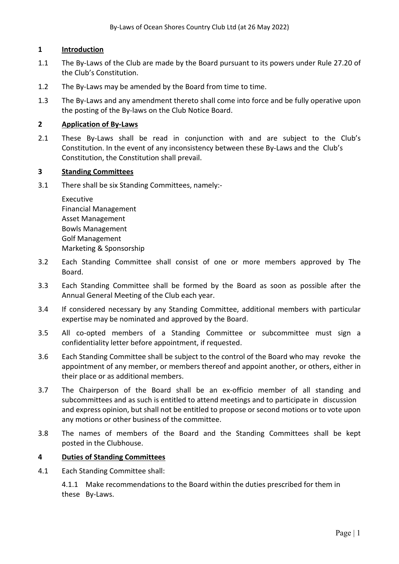## **1 Introduction**

- 1.1 The By-Laws of the Club are made by the Board pursuant to its powers under Rule 27.20 of the Club's Constitution.
- 1.2 The By-Laws may be amended by the Board from time to time.
- 1.3 The By-Laws and any amendment thereto shall come into force and be fully operative upon the posting of the By-laws on the Club Notice Board.

## **2 Application of By-Laws**

2.1 These By-Laws shall be read in conjunction with and are subject to the Club's Constitution. In the event of any inconsistency between these By-Laws and the Club's Constitution, the Constitution shall prevail.

## **3 Standing Committees**

3.1 There shall be six Standing Committees, namely:-

Executive Financial Management Asset Management Bowls Management Golf Management Marketing & Sponsorship

- 3.2 Each Standing Committee shall consist of one or more members approved by The Board.
- 3.3 Each Standing Committee shall be formed by the Board as soon as possible after the Annual General Meeting of the Club each year.
- 3.4 If considered necessary by any Standing Committee, additional members with particular expertise may be nominated and approved by the Board.
- 3.5 All co-opted members of a Standing Committee or subcommittee must sign a confidentiality letter before appointment, if requested.
- 3.6 Each Standing Committee shall be subject to the control of the Board who may revoke the appointment of any member, or members thereof and appoint another, or others, either in their place or as additional members.
- 3.7 The Chairperson of the Board shall be an ex-officio member of all standing and subcommittees and as such is entitled to attend meetings and to participate in discussion and express opinion, but shall not be entitled to propose or second motions or to vote upon any motions or other business of the committee.
- 3.8 The names of members of the Board and the Standing Committees shall be kept posted in the Clubhouse.

## **4 Duties of Standing Committees**

4.1 Each Standing Committee shall:

4.1.1 Make recommendations to the Board within the duties prescribed for them in these By-Laws.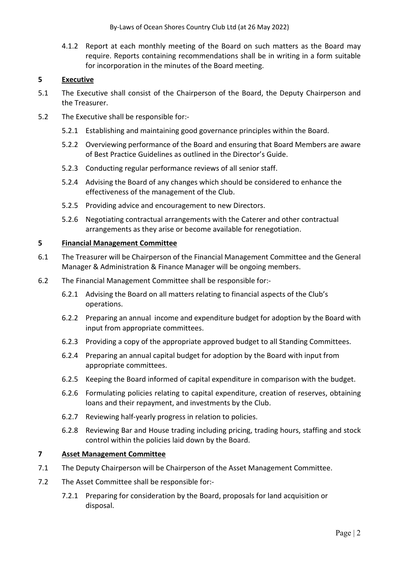By-Laws of Ocean Shores Country Club Ltd (at 26 May 2022)

4.1.2 Report at each monthly meeting of the Board on such matters as the Board may require. Reports containing recommendations shall be in writing in a form suitable for incorporation in the minutes of the Board meeting.

## **5 Executive**

- 5.1 The Executive shall consist of the Chairperson of the Board, the Deputy Chairperson and the Treasurer.
- 5.2 The Executive shall be responsible for:-
	- 5.2.1 Establishing and maintaining good governance principles within the Board.
	- 5.2.2 Overviewing performance of the Board and ensuring that Board Members are aware of Best Practice Guidelines as outlined in the Director's Guide.
	- 5.2.3 Conducting regular performance reviews of all senior staff.
	- 5.2.4 Advising the Board of any changes which should be considered to enhance the effectiveness of the management of the Club.
	- 5.2.5 Providing advice and encouragement to new Directors.
	- 5.2.6 Negotiating contractual arrangements with the Caterer and other contractual arrangements as they arise or become available for renegotiation.

## **5 Financial Management Committee**

- 6.1 The Treasurer will be Chairperson of the Financial Management Committee and the General Manager & Administration & Finance Manager will be ongoing members.
- 6.2 The Financial Management Committee shall be responsible for:-
	- 6.2.1 Advising the Board on all matters relating to financial aspects of the Club's operations.
	- 6.2.2 Preparing an annual income and expenditure budget for adoption by the Board with input from appropriate committees.
	- 6.2.3 Providing a copy of the appropriate approved budget to all Standing Committees.
	- 6.2.4 Preparing an annual capital budget for adoption by the Board with input from appropriate committees.
	- 6.2.5 Keeping the Board informed of capital expenditure in comparison with the budget.
	- 6.2.6 Formulating policies relating to capital expenditure, creation of reserves, obtaining loans and their repayment, and investments by the Club.
	- 6.2.7 Reviewing half-yearly progress in relation to policies.
	- 6.2.8 Reviewing Bar and House trading including pricing, trading hours, staffing and stock control within the policies laid down by the Board.

## **7 Asset Management Committee**

- 7.1 The Deputy Chairperson will be Chairperson of the Asset Management Committee.
- 7.2 The Asset Committee shall be responsible for:-
	- 7.2.1 Preparing for consideration by the Board, proposals for land acquisition or disposal.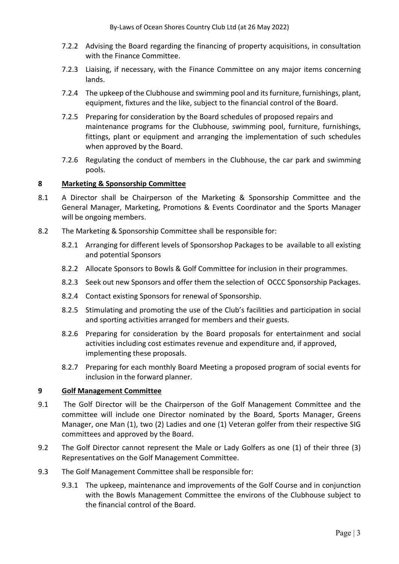- 7.2.2 Advising the Board regarding the financing of property acquisitions, in consultation with the Finance Committee.
- 7.2.3 Liaising, if necessary, with the Finance Committee on any major items concerning lands.
- 7.2.4 The upkeep of the Clubhouse and swimming pool and its furniture, furnishings, plant, equipment, fixtures and the like, subject to the financial control of the Board.
- 7.2.5 Preparing for consideration by the Board schedules of proposed repairs and maintenance programs for the Clubhouse, swimming pool, furniture, furnishings, fittings, plant or equipment and arranging the implementation of such schedules when approved by the Board.
- 7.2.6 Regulating the conduct of members in the Clubhouse, the car park and swimming pools.

## **8 Marketing & Sponsorship Committee**

- 8.1 A Director shall be Chairperson of the Marketing & Sponsorship Committee and the General Manager, Marketing, Promotions & Events Coordinator and the Sports Manager will be ongoing members.
- 8.2 The Marketing & Sponsorship Committee shall be responsible for:
	- 8.2.1 Arranging for different levels of Sponsorshop Packages to be available to all existing and potential Sponsors
	- 8.2.2 Allocate Sponsors to Bowls & Golf Committee for inclusion in their programmes.
	- 8.2.3 Seek out new Sponsors and offer them the selection of OCCC Sponsorship Packages.
	- 8.2.4 Contact existing Sponsors for renewal of Sponsorship.
	- 8.2.5 Stimulating and promoting the use of the Club's facilities and participation in social and sporting activities arranged for members and their guests.
	- 8.2.6 Preparing for consideration by the Board proposals for entertainment and social activities including cost estimates revenue and expenditure and, if approved, implementing these proposals.
	- 8.2.7 Preparing for each monthly Board Meeting a proposed program of social events for inclusion in the forward planner.

## **9 Golf Management Committee**

- 9.1 The Golf Director will be the Chairperson of the Golf Management Committee and the committee will include one Director nominated by the Board, Sports Manager, Greens Manager, one Man (1), two (2) Ladies and one (1) Veteran golfer from their respective SIG committees and approved by the Board.
- 9.2 The Golf Director cannot represent the Male or Lady Golfers as one (1) of their three (3) Representatives on the Golf Management Committee.
- 9.3 The Golf Management Committee shall be responsible for:
	- 9.3.1 The upkeep, maintenance and improvements of the Golf Course and in conjunction with the Bowls Management Committee the environs of the Clubhouse subject to the financial control of the Board.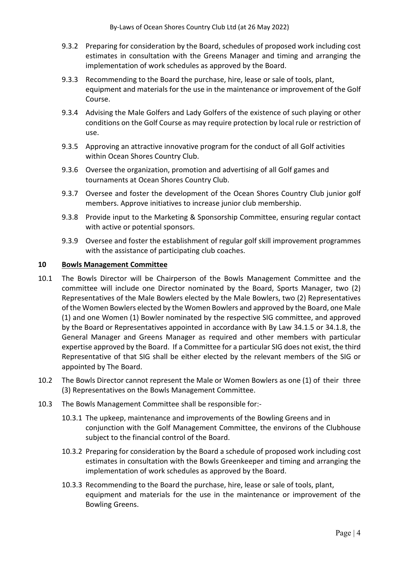- 9.3.2 Preparing for consideration by the Board, schedules of proposed work including cost estimates in consultation with the Greens Manager and timing and arranging the implementation of work schedules as approved by the Board.
- 9.3.3 Recommending to the Board the purchase, hire, lease or sale of tools, plant, equipment and materials for the use in the maintenance or improvement of the Golf Course.
- 9.3.4 Advising the Male Golfers and Lady Golfers of the existence of such playing or other conditions on the Golf Course as may require protection by local rule or restriction of use.
- 9.3.5 Approving an attractive innovative program for the conduct of all Golf activities within Ocean Shores Country Club.
- 9.3.6 Oversee the organization, promotion and advertising of all Golf games and tournaments at Ocean Shores Country Club.
- 9.3.7 Oversee and foster the development of the Ocean Shores Country Club junior golf members. Approve initiatives to increase junior club membership.
- 9.3.8 Provide input to the Marketing & Sponsorship Committee, ensuring regular contact with active or potential sponsors.
- 9.3.9 Oversee and foster the establishment of regular golf skill improvement programmes with the assistance of participating club coaches.

## **10 Bowls Management Committee**

- 10.1 The Bowls Director will be Chairperson of the Bowls Management Committee and the committee will include one Director nominated by the Board, Sports Manager, two (2) Representatives of the Male Bowlers elected by the Male Bowlers, two (2) Representatives of the Women Bowlers elected by the Women Bowlers and approved by the Board, one Male (1) and one Women (1) Bowler nominated by the respective SIG committee, and approved by the Board or Representatives appointed in accordance with By Law 34.1.5 or 34.1.8, the General Manager and Greens Manager as required and other members with particular expertise approved by the Board. If a Committee for a particular SIG does not exist, the third Representative of that SIG shall be either elected by the relevant members of the SIG or appointed by The Board.
- 10.2 The Bowls Director cannot represent the Male or Women Bowlers as one (1) of their three (3) Representatives on the Bowls Management Committee.
- 10.3 The Bowls Management Committee shall be responsible for:-
	- 10.3.1 The upkeep, maintenance and improvements of the Bowling Greens and in conjunction with the Golf Management Committee, the environs of the Clubhouse subject to the financial control of the Board.
	- 10.3.2 Preparing for consideration by the Board a schedule of proposed work including cost estimates in consultation with the Bowls Greenkeeper and timing and arranging the implementation of work schedules as approved by the Board.
	- 10.3.3 Recommending to the Board the purchase, hire, lease or sale of tools, plant, equipment and materials for the use in the maintenance or improvement of the Bowling Greens.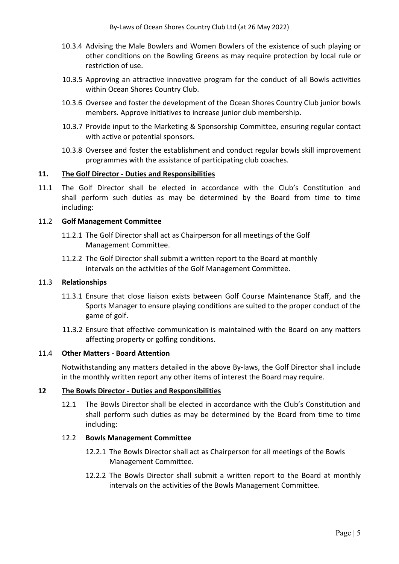- 10.3.4 Advising the Male Bowlers and Women Bowlers of the existence of such playing or other conditions on the Bowling Greens as may require protection by local rule or restriction of use.
- 10.3.5 Approving an attractive innovative program for the conduct of all Bowls activities within Ocean Shores Country Club.
- 10.3.6 Oversee and foster the development of the Ocean Shores Country Club junior bowls members. Approve initiatives to increase junior club membership.
- 10.3.7 Provide input to the Marketing & Sponsorship Committee, ensuring regular contact with active or potential sponsors.
- 10.3.8 Oversee and foster the establishment and conduct regular bowls skill improvement programmes with the assistance of participating club coaches.

## **11. The Golf Director - Duties and Responsibilities**

11.1 The Golf Director shall be elected in accordance with the Club's Constitution and shall perform such duties as may be determined by the Board from time to time including:

## 11.2 **Golf Management Committee**

- 11.2.1 The Golf Director shall act as Chairperson for all meetings of the Golf Management Committee.
- 11.2.2 The Golf Director shall submit a written report to the Board at monthly intervals on the activities of the Golf Management Committee.

#### 11.3 **Relationships**

- 11.3.1 Ensure that close liaison exists between Golf Course Maintenance Staff, and the Sports Manager to ensure playing conditions are suited to the proper conduct of the game of golf.
- 11.3.2 Ensure that effective communication is maintained with the Board on any matters affecting property or golfing conditions.

## 11.4 **Other Matters - Board Attention**

Notwithstanding any matters detailed in the above By-laws, the Golf Director shall include in the monthly written report any other items of interest the Board may require.

## **12 The Bowls Director - Duties and Responsibilities**

12.1 The Bowls Director shall be elected in accordance with the Club's Constitution and shall perform such duties as may be determined by the Board from time to time including:

## 12.2 **Bowls Management Committee**

- 12.2.1 The Bowls Director shall act as Chairperson for all meetings of the Bowls Management Committee.
- 12.2.2 The Bowls Director shall submit a written report to the Board at monthly intervals on the activities of the Bowls Management Committee.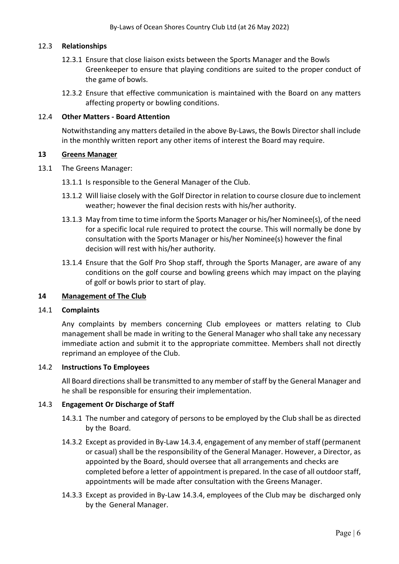## 12.3 **Relationships**

- 12.3.1 Ensure that close liaison exists between the Sports Manager and the Bowls Greenkeeper to ensure that playing conditions are suited to the proper conduct of the game of bowls.
- 12.3.2 Ensure that effective communication is maintained with the Board on any matters affecting property or bowling conditions.

## 12.4 **Other Matters - Board Attention**

Notwithstanding any matters detailed in the above By-Laws, the Bowls Director shall include in the monthly written report any other items of interest the Board may require.

#### **13 Greens Manager**

13.1 The Greens Manager:

13.1.1 Is responsible to the General Manager of the Club.

- 13.1.2 Will liaise closely with the Golf Director in relation to course closure due to inclement weather; however the final decision rests with his/her authority.
- 13.1.3 May from time to time inform the Sports Manager or his/her Nominee(s), of the need for a specific local rule required to protect the course. This will normally be done by consultation with the Sports Manager or his/her Nominee(s) however the final decision will rest with his/her authority.
- 13.1.4 Ensure that the Golf Pro Shop staff, through the Sports Manager, are aware of any conditions on the golf course and bowling greens which may impact on the playing of golf or bowls prior to start of play.

## **14 Management of The Club**

#### 14.1 **Complaints**

Any complaints by members concerning Club employees or matters relating to Club management shall be made in writing to the General Manager who shall take any necessary immediate action and submit it to the appropriate committee. Members shall not directly reprimand an employee of the Club.

#### 14.2 **Instructions To Employees**

All Board directions shall be transmitted to any member of staff by the General Manager and he shall be responsible for ensuring their implementation.

## 14.3 **Engagement Or Discharge of Staff**

- 14.3.1 The number and category of persons to be employed by the Club shall be as directed by the Board.
- 14.3.2 Except as provided in By-Law 14.3.4, engagement of any member of staff (permanent or casual) shall be the responsibility of the General Manager. However, a Director, as appointed by the Board, should oversee that all arrangements and checks are completed before a letter of appointment is prepared. In the case of all outdoor staff, appointments will be made after consultation with the Greens Manager.
- 14.3.3 Except as provided in By-Law 14.3.4, employees of the Club may be discharged only by the General Manager.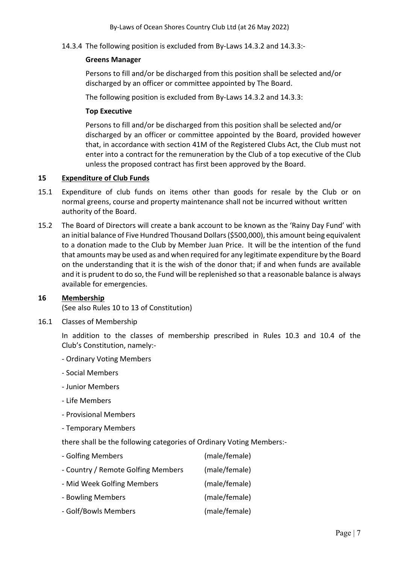14.3.4 The following position is excluded from By-Laws 14.3.2 and 14.3.3:-

## **Greens Manager**

 Persons to fill and/or be discharged from this position shall be selected and/or discharged by an officer or committee appointed by The Board.

The following position is excluded from By-Laws 14.3.2 and 14.3.3:

## **Top Executive**

 Persons to fill and/or be discharged from this position shall be selected and/or discharged by an officer or committee appointed by the Board, provided however that, in accordance with section 41M of the Registered Clubs Act, the Club must not enter into a contract for the remuneration by the Club of a top executive of the Club unless the proposed contract has first been approved by the Board.

## **15 Expenditure of Club Funds**

- 15.1 Expenditure of club funds on items other than goods for resale by the Club or on normal greens, course and property maintenance shall not be incurred without written authority of the Board.
- 15.2 The Board of Directors will create a bank account to be known as the 'Rainy Day Fund' with an initial balance of Five Hundred Thousand Dollars (\$500,000), this amount being equivalent to a donation made to the Club by Member Juan Price. It will be the intention of the fund that amounts may be used as and when required for any legitimate expenditure by the Board on the understanding that it is the wish of the donor that; if and when funds are available and it is prudent to do so, the Fund will be replenished so that a reasonable balance is always available for emergencies.

## **16 Membership**

(See also Rules 10 to 13 of Constitution)

16.1 Classes of Membership

In addition to the classes of membership prescribed in Rules 10.3 and 10.4 of the Club's Constitution, namely:-

- Ordinary Voting Members
- Social Members
- Junior Members
- Life Members
- Provisional Members
- Temporary Members

there shall be the following categories of Ordinary Voting Members:-

- Golfing Members (male/female) - Country / Remote Golfing Members (male/female)
- Mid Week Golfing Members (male/female)
- 
- Bowling Members (male/female)
- Golf/Bowls Members (male/female)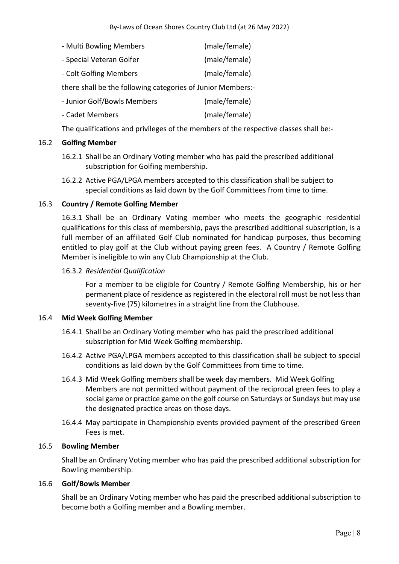| - Multi Bowling Members                                     | (male/female) |  |
|-------------------------------------------------------------|---------------|--|
| - Special Veteran Golfer                                    | (male/female) |  |
| - Colt Golfing Members                                      | (male/female) |  |
| there shall be the following categories of Junior Members:- |               |  |
| - Junior Golf/Bowls Members                                 | (male/female) |  |
| - Cadet Members                                             | (male/female) |  |

The qualifications and privileges of the members of the respective classes shall be:-

## 16.2 **Golfing Member**

- 16.2.1 Shall be an Ordinary Voting member who has paid the prescribed additional subscription for Golfing membership.
- 16.2.2 Active PGA/LPGA members accepted to this classification shall be subject to special conditions as laid down by the Golf Committees from time to time.

## 16.3 **Country / Remote Golfing Member**

16.3.1 Shall be an Ordinary Voting member who meets the geographic residential qualifications for this class of membership, pays the prescribed additional subscription, is a full member of an affiliated Golf Club nominated for handicap purposes, thus becoming entitled to play golf at the Club without paying green fees. A Country / Remote Golfing Member is ineligible to win any Club Championship at the Club.

## 16.3.2 *Residential Qualification*

For a member to be eligible for Country / Remote Golfing Membership, his or her permanent place of residence as registered in the electoral roll must be not less than seventy-five (75) kilometres in a straight line from the Clubhouse.

## 16.4 **Mid Week Golfing Member**

- 16.4.1 Shall be an Ordinary Voting member who has paid the prescribed additional subscription for Mid Week Golfing membership.
- 16.4.2 Active PGA/LPGA members accepted to this classification shall be subject to special conditions as laid down by the Golf Committees from time to time.
- 16.4.3 Mid Week Golfing members shall be week day members. Mid Week Golfing Members are not permitted without payment of the reciprocal green fees to play a social game or practice game on the golf course on Saturdays or Sundays but may use the designated practice areas on those days.
- 16.4.4 May participate in Championship events provided payment of the prescribed Green Fees is met.

## 16.5 **Bowling Member**

Shall be an Ordinary Voting member who has paid the prescribed additional subscription for Bowling membership.

## 16.6 **Golf/Bowls Member**

Shall be an Ordinary Voting member who has paid the prescribed additional subscription to become both a Golfing member and a Bowling member.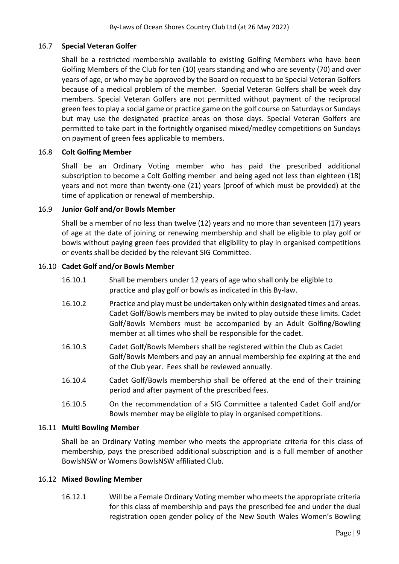## 16.7 **Special Veteran Golfer**

Shall be a restricted membership available to existing Golfing Members who have been Golfing Members of the Club for ten (10) years standing and who are seventy (70) and over years of age, or who may be approved by the Board on request to be Special Veteran Golfers because of a medical problem of the member.Special Veteran Golfers shall be week day members. Special Veteran Golfers are not permitted without payment of the reciprocal green fees to play a social game or practice game on the golf course on Saturdays or Sundays but may use the designated practice areas on those days. Special Veteran Golfers are permitted to take part in the fortnightly organised mixed/medley competitions on Sundays on payment of green fees applicable to members.

## 16.8 **Colt Golfing Member**

Shall be an Ordinary Voting member who has paid the prescribed additional subscription to become a Colt Golfing member and being aged not less than eighteen (18) years and not more than twenty-one (21) years (proof of which must be provided) at the time of application or renewal of membership.

## 16.9 **Junior Golf and/or Bowls Member**

Shall be a member of no less than twelve (12) years and no more than seventeen (17) years of age at the date of joining or renewing membership and shall be eligible to play golf or bowls without paying green fees provided that eligibility to play in organised competitions or events shall be decided by the relevant SIG Committee.

## 16.10 **Cadet Golf and/or Bowls Member**

- 16.10.1 Shall be members under 12 years of age who shall only be eligible to practice and play golf or bowls as indicated in this By-law.
- 16.10.2 Practice and play must be undertaken only within designated times and areas. Cadet Golf/Bowls members may be invited to play outside these limits. Cadet Golf/Bowls Members must be accompanied by an Adult Golfing/Bowling member at all times who shall be responsible for the cadet.
- 16.10.3 Cadet Golf/Bowls Members shall be registered within the Club as Cadet Golf/Bowls Members and pay an annual membership fee expiring at the end of the Club year. Fees shall be reviewed annually.
- 16.10.4 Cadet Golf/Bowls membership shall be offered at the end of their training period and after payment of the prescribed fees.
- 16.10.5 On the recommendation of a SIG Committee a talented Cadet Golf and/or Bowls member may be eligible to play in organised competitions.

## 16.11 **Multi Bowling Member**

Shall be an Ordinary Voting member who meets the appropriate criteria for this class of membership, pays the prescribed additional subscription and is a full member of another BowlsNSW or Womens BowlsNSW affiliated Club.

## 16.12 **Mixed Bowling Member**

16.12.1 Will be a Female Ordinary Voting member who meets the appropriate criteria for this class of membership and pays the prescribed fee and under the dual registration open gender policy of the New South Wales Women's Bowling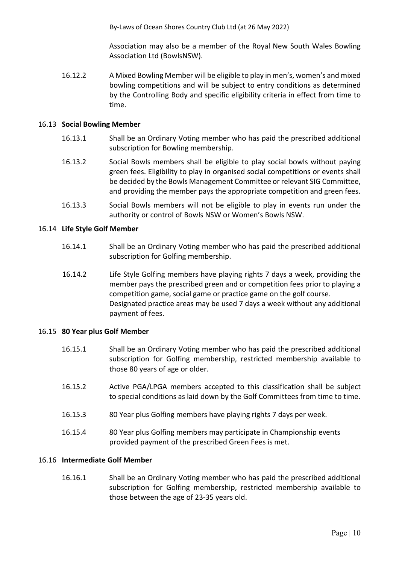By-Laws of Ocean Shores Country Club Ltd (at 26 May 2022)

Association may also be a member of the Royal New South Wales Bowling Association Ltd (BowlsNSW).

16.12.2 A Mixed Bowling Member will be eligible to play in men's, women's and mixed bowling competitions and will be subject to entry conditions as determined by the Controlling Body and specific eligibility criteria in effect from time to time.

## 16.13 **Social Bowling Member**

- 16.13.1 Shall be an Ordinary Voting member who has paid the prescribed additional subscription for Bowling membership.
- 16.13.2 Social Bowls members shall be eligible to play social bowls without paying green fees. Eligibility to play in organised social competitions or events shall be decided by the Bowls Management Committee or relevant SIG Committee, and providing the member pays the appropriate competition and green fees.
- 16.13.3 Social Bowls members will not be eligible to play in events run under the authority or control of Bowls NSW or Women's Bowls NSW.

## 16.14 **Life Style Golf Member**

- 16.14.1 Shall be an Ordinary Voting member who has paid the prescribed additional subscription for Golfing membership.
- 16.14.2 Life Style Golfing members have playing rights 7 days a week, providing the member pays the prescribed green and or competition fees prior to playing a competition game, social game or practice game on the golf course. Designated practice areas may be used 7 days a week without any additional payment of fees.

## 16.15 **80 Year plus Golf Member**

- 16.15.1 Shall be an Ordinary Voting member who has paid the prescribed additional subscription for Golfing membership, restricted membership available to those 80 years of age or older.
- 16.15.2 Active PGA/LPGA members accepted to this classification shall be subject to special conditions as laid down by the Golf Committees from time to time.
- 16.15.3 80 Year plus Golfing members have playing rights 7 days per week.
- 16.15.4 80 Year plus Golfing members may participate in Championship events provided payment of the prescribed Green Fees is met.

## 16.16 **Intermediate Golf Member**

16.16.1 Shall be an Ordinary Voting member who has paid the prescribed additional subscription for Golfing membership, restricted membership available to those between the age of 23-35 years old.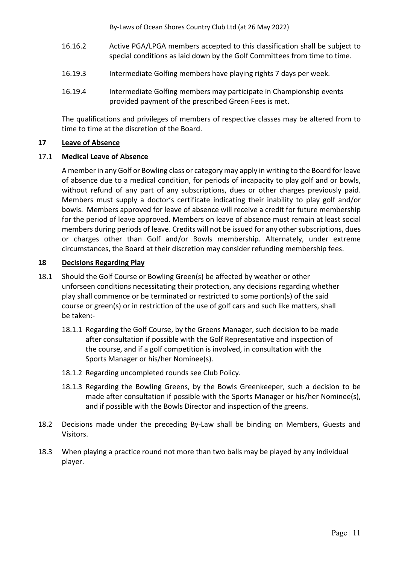By-Laws of Ocean Shores Country Club Ltd (at 26 May 2022)

- 16.16.2 Active PGA/LPGA members accepted to this classification shall be subject to special conditions as laid down by the Golf Committees from time to time.
- 16.19.3 Intermediate Golfing members have playing rights 7 days per week.
- 16.19.4 Intermediate Golfing members may participate in Championship events provided payment of the prescribed Green Fees is met.

The qualifications and privileges of members of respective classes may be altered from to time to time at the discretion of the Board.

## **17 Leave of Absence**

## 17.1 **Medical Leave of Absence**

A member in any Golf or Bowling class or category may apply in writing to the Board for leave of absence due to a medical condition, for periods of incapacity to play golf and or bowls, without refund of any part of any subscriptions, dues or other charges previously paid. Members must supply a doctor's certificate indicating their inability to play golf and/or bowls. Members approved for leave of absence will receive a credit for future membership for the period of leave approved. Members on leave of absence must remain at least social members during periods of leave. Credits will not be issued for any other subscriptions, dues or charges other than Golf and/or Bowls membership. Alternately, under extreme circumstances, the Board at their discretion may consider refunding membership fees.

## **18 Decisions Regarding Play**

- 18.1 Should the Golf Course or Bowling Green(s) be affected by weather or other unforseen conditions necessitating their protection, any decisions regarding whether play shall commence or be terminated or restricted to some portion(s) of the said course or green(s) or in restriction of the use of golf cars and such like matters, shall be taken:-
	- 18.1.1 Regarding the Golf Course, by the Greens Manager, such decision to be made after consultation if possible with the Golf Representative and inspection of the course, and if a golf competition is involved, in consultation with the Sports Manager or his/her Nominee(s).
	- 18.1.2 Regarding uncompleted rounds see Club Policy.
	- 18.1.3 Regarding the Bowling Greens, by the Bowls Greenkeeper, such a decision to be made after consultation if possible with the Sports Manager or his/her Nominee(s), and if possible with the Bowls Director and inspection of the greens.
- 18.2 Decisions made under the preceding By-Law shall be binding on Members, Guests and Visitors.
- 18.3 When playing a practice round not more than two balls may be played by any individual player.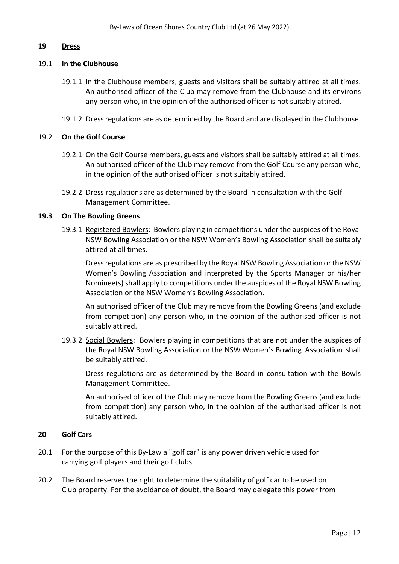## **19 Dress**

#### 19.1 **In the Clubhouse**

- 19.1.1 In the Clubhouse members, guests and visitors shall be suitably attired at all times. An authorised officer of the Club may remove from the Clubhouse and its environs any person who, in the opinion of the authorised officer is not suitably attired.
- 19.1.2 Dress regulations are as determined by the Board and are displayed in the Clubhouse.

#### 19.2 **On the Golf Course**

- 19.2.1 On the Golf Course members, guests and visitors shall be suitably attired at all times. An authorised officer of the Club may remove from the Golf Course any person who, in the opinion of the authorised officer is not suitably attired.
- 19.2.2 Dress regulations are as determined by the Board in consultation with the Golf Management Committee.

#### **19.3 On The Bowling Greens**

19.3.1 Registered Bowlers: Bowlers playing in competitions under the auspices of the Royal NSW Bowling Association or the NSW Women's Bowling Association shall be suitably attired at all times.

 Dress regulations are as prescribed by the Royal NSW Bowling Association or the NSW Women's Bowling Association and interpreted by the Sports Manager or his/her Nominee(s) shall apply to competitions under the auspices of the Royal NSW Bowling Association or the NSW Women's Bowling Association.

 An authorised officer of the Club may remove from the Bowling Greens (and exclude from competition) any person who, in the opinion of the authorised officer is not suitably attired.

19.3.2 Social Bowlers: Bowlers playing in competitions that are not under the auspices of the Royal NSW Bowling Association or the NSW Women's Bowling Association shall be suitably attired.

 Dress regulations are as determined by the Board in consultation with the Bowls Management Committee.

 An authorised officer of the Club may remove from the Bowling Greens (and exclude from competition) any person who, in the opinion of the authorised officer is not suitably attired.

#### **20 Golf Cars**

- 20.1 For the purpose of this By-Law a "golf car" is any power driven vehicle used for carrying golf players and their golf clubs.
- 20.2 The Board reserves the right to determine the suitability of golf car to be used on Club property. For the avoidance of doubt, the Board may delegate this power from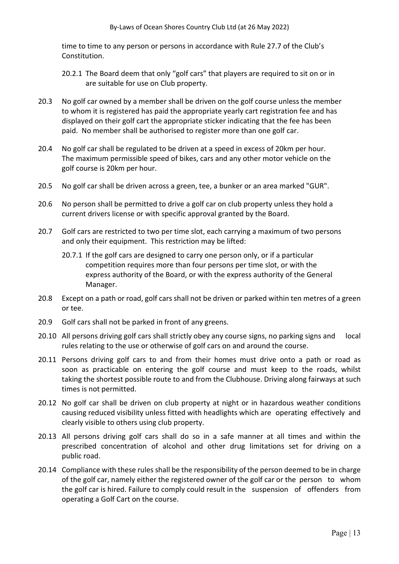time to time to any person or persons in accordance with Rule 27.7 of the Club's Constitution.

- 20.2.1 The Board deem that only "golf cars" that players are required to sit on or in are suitable for use on Club property.
- 20.3 No golf car owned by a member shall be driven on the golf course unless the member to whom it is registered has paid the appropriate yearly cart registration fee and has displayed on their golf cart the appropriate sticker indicating that the fee has been paid. No member shall be authorised to register more than one golf car.
- 20.4 No golf car shall be regulated to be driven at a speed in excess of 20km per hour. The maximum permissible speed of bikes, cars and any other motor vehicle on the golf course is 20km per hour.
- 20.5 No golf car shall be driven across a green, tee, a bunker or an area marked "GUR".
- 20.6 No person shall be permitted to drive a golf car on club property unless they hold a current drivers license or with specific approval granted by the Board.
- 20.7 Golf cars are restricted to two per time slot, each carrying a maximum of two persons and only their equipment. This restriction may be lifted:
	- 20.7.1 If the golf cars are designed to carry one person only, or if a particular competition requires more than four persons per time slot, or with the express authority of the Board, or with the express authority of the General Manager.
- 20.8 Except on a path or road, golf cars shall not be driven or parked within ten metres of a green or tee.
- 20.9 Golf cars shall not be parked in front of any greens.
- 20.10 All persons driving golf cars shall strictly obey any course signs, no parking signs and local rules relating to the use or otherwise of golf cars on and around the course.
- 20.11 Persons driving golf cars to and from their homes must drive onto a path or road as soon as practicable on entering the golf course and must keep to the roads, whilst taking the shortest possible route to and from the Clubhouse. Driving along fairways at such times is not permitted.
- 20.12 No golf car shall be driven on club property at night or in hazardous weather conditions causing reduced visibility unless fitted with headlights which are operating effectively and clearly visible to others using club property.
- 20.13 All persons driving golf cars shall do so in a safe manner at all times and within the prescribed concentration of alcohol and other drug limitations set for driving on a public road.
- 20.14 Compliance with these rules shall be the responsibility of the person deemed to be in charge of the golf car, namely either the registered owner of the golf car or the person to whom the golf car is hired. Failure to comply could result in the suspension of offenders from operating a Golf Cart on the course.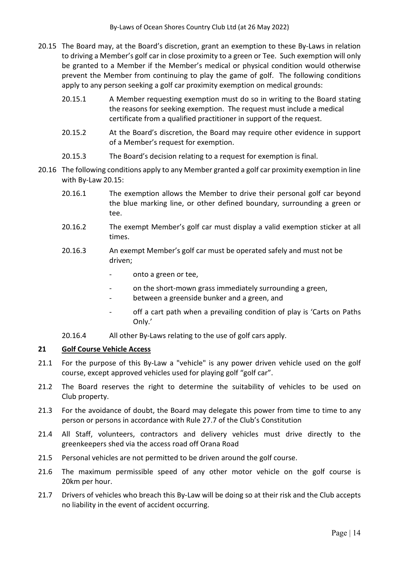- 20.15 The Board may, at the Board's discretion, grant an exemption to these By-Laws in relation to driving a Member's golf car in close proximity to a green or Tee. Such exemption will only be granted to a Member if the Member's medical or physical condition would otherwise prevent the Member from continuing to play the game of golf. The following conditions apply to any person seeking a golf car proximity exemption on medical grounds:
	- 20.15.1 A Member requesting exemption must do so in writing to the Board stating the reasons for seeking exemption. The request must include a medical certificate from a qualified practitioner in support of the request.
	- 20.15.2 At the Board's discretion, the Board may require other evidence in support of a Member's request for exemption.
	- 20.15.3 The Board's decision relating to a request for exemption is final.
- 20.16 The following conditions apply to any Member granted a golf car proximity exemption in line with By-Law 20.15:
	- 20.16.1 The exemption allows the Member to drive their personal golf car beyond the blue marking line, or other defined boundary, surrounding a green or tee.
	- 20.16.2 The exempt Member's golf car must display a valid exemption sticker at all times.
	- 20.16.3 An exempt Member's golf car must be operated safely and must not be driven;
		- onto a green or tee,
		- on the short-mown grass immediately surrounding a green,
		- between a greenside bunker and a green, and
		- off a cart path when a prevailing condition of play is 'Carts on Paths Only.'
	- 20.16.4 All other By-Laws relating to the use of golf cars apply.

## **21 Golf Course Vehicle Access**

- 21.1 For the purpose of this By-Law a "vehicle" is any power driven vehicle used on the golf course, except approved vehicles used for playing golf "golf car".
- 21.2 The Board reserves the right to determine the suitability of vehicles to be used on Club property.
- 21.3 For the avoidance of doubt, the Board may delegate this power from time to time to any person or persons in accordance with Rule 27.7 of the Club's Constitution
- 21.4 All Staff, volunteers, contractors and delivery vehicles must drive directly to the greenkeepers shed via the access road off Orana Road
- 21.5 Personal vehicles are not permitted to be driven around the golf course.
- 21.6 The maximum permissible speed of any other motor vehicle on the golf course is 20km per hour.
- 21.7 Drivers of vehicles who breach this By-Law will be doing so at their risk and the Club accepts no liability in the event of accident occurring.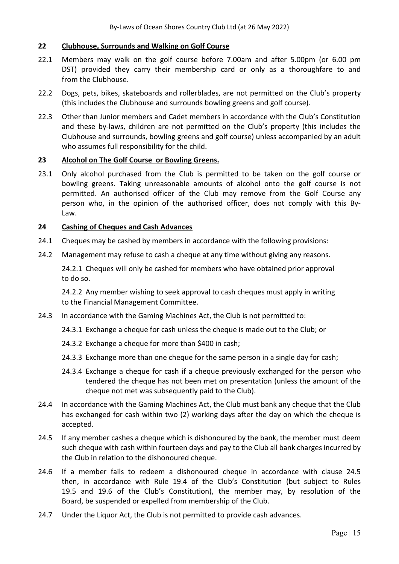## **22 Clubhouse, Surrounds and Walking on Golf Course**

- 22.1 Members may walk on the golf course before 7.00am and after 5.00pm (or 6.00 pm DST) provided they carry their membership card or only as a thoroughfare to and from the Clubhouse.
- 22.2 Dogs, pets, bikes, skateboards and rollerblades, are not permitted on the Club's property (this includes the Clubhouse and surrounds bowling greens and golf course).
- 22.3 Other than Junior members and Cadet members in accordance with the Club's Constitution and these by-laws, children are not permitted on the Club's property (this includes the Clubhouse and surrounds, bowling greens and golf course) unless accompanied by an adult who assumes full responsibility for the child.

## **23 Alcohol on The Golf Course or Bowling Greens.**

23.1 Only alcohol purchased from the Club is permitted to be taken on the golf course or bowling greens. Taking unreasonable amounts of alcohol onto the golf course is not permitted. An authorised officer of the Club may remove from the Golf Course any person who, in the opinion of the authorised officer, does not comply with this By- Law.

## **24 Cashing of Cheques and Cash Advances**

- 24.1 Cheques may be cashed by members in accordance with the following provisions:
- 24.2 Management may refuse to cash a cheque at any time without giving any reasons.

 24.2.1 Cheques will only be cashed for members who have obtained prior approval to do so.

 24.2.2 Any member wishing to seek approval to cash cheques must apply in writing to the Financial Management Committee.

- 24.3 In accordance with the Gaming Machines Act, the Club is not permitted to:
	- 24.3.1 Exchange a cheque for cash unless the cheque is made out to the Club; or
	- 24.3.2 Exchange a cheque for more than \$400 in cash;
	- 24.3.3 Exchange more than one cheque for the same person in a single day for cash;
	- 24.3.4 Exchange a cheque for cash if a cheque previously exchanged for the person who tendered the cheque has not been met on presentation (unless the amount of the cheque not met was subsequently paid to the Club).
- 24.4 In accordance with the Gaming Machines Act, the Club must bank any cheque that the Club has exchanged for cash within two (2) working days after the day on which the cheque is accepted.
- 24.5 If any member cashes a cheque which is dishonoured by the bank, the member must deem such cheque with cash within fourteen days and pay to the Club all bank charges incurred by the Club in relation to the dishonoured cheque.
- 24.6 If a member fails to redeem a dishonoured cheque in accordance with clause 24.5 then, in accordance with Rule 19.4 of the Club's Constitution (but subject to Rules 19.5 and 19.6 of the Club's Constitution), the member may, by resolution of the Board, be suspended or expelled from membership of the Club.
- 24.7 Under the Liquor Act, the Club is not permitted to provide cash advances.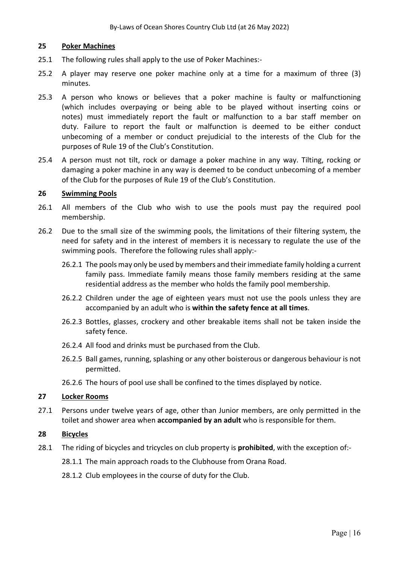## **25 Poker Machines**

- 25.1 The following rules shall apply to the use of Poker Machines:-
- 25.2 A player may reserve one poker machine only at a time for a maximum of three (3) minutes.
- 25.3 A person who knows or believes that a poker machine is faulty or malfunctioning (which includes overpaying or being able to be played without inserting coins or notes) must immediately report the fault or malfunction to a bar staff member on duty. Failure to report the fault or malfunction is deemed to be either conduct unbecoming of a member or conduct prejudicial to the interests of the Club for the purposes of Rule 19 of the Club's Constitution.
- 25.4 A person must not tilt, rock or damage a poker machine in any way. Tilting, rocking or damaging a poker machine in any way is deemed to be conduct unbecoming of a member of the Club for the purposes of Rule 19 of the Club's Constitution.

#### **26 Swimming Pools**

- 26.1 All members of the Club who wish to use the pools must pay the required pool membership.
- 26.2 Due to the small size of the swimming pools, the limitations of their filtering system, the need for safety and in the interest of members it is necessary to regulate the use of the swimming pools. Therefore the following rules shall apply:-
	- 26.2.1 The pools may only be used by members and their immediate family holding a current family pass. Immediate family means those family members residing at the same residential address as the member who holds the family pool membership.
	- 26.2.2 Children under the age of eighteen years must not use the pools unless they are accompanied by an adult who is **within the safety fence at all times**.
	- 26.2.3 Bottles, glasses, crockery and other breakable items shall not be taken inside the safety fence.
	- 26.2.4 All food and drinks must be purchased from the Club.
	- 26.2.5 Ball games, running, splashing or any other boisterous or dangerous behaviour is not permitted.
	- 26.2.6 The hours of pool use shall be confined to the times displayed by notice.

## **27 Locker Rooms**

27.1 Persons under twelve years of age, other than Junior members, are only permitted in the toilet and shower area when **accompanied by an adult** who is responsible for them.

## **28 Bicycles**

28.1 The riding of bicycles and tricycles on club property is **prohibited**, with the exception of:-

28.1.1 The main approach roads to the Clubhouse from Orana Road.

28.1.2 Club employees in the course of duty for the Club.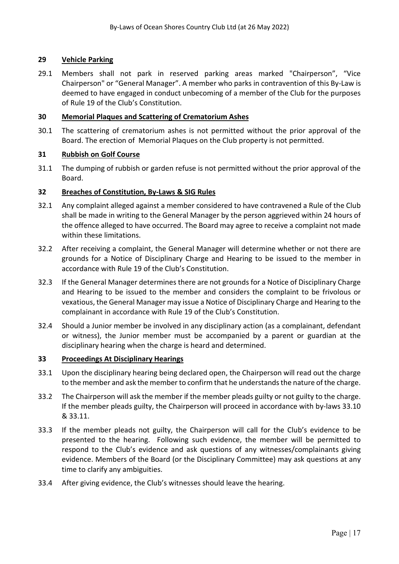## **29 Vehicle Parking**

29.1 Members shall not park in reserved parking areas marked "Chairperson", "Vice Chairperson" or "General Manager". A member who parks in contravention of this By-Law is deemed to have engaged in conduct unbecoming of a member of the Club for the purposes of Rule 19 of the Club's Constitution.

## **30 Memorial Plaques and Scattering of Crematorium Ashes**

30.1 The scattering of crematorium ashes is not permitted without the prior approval of the Board. The erection of Memorial Plaques on the Club property is not permitted.

## **31 Rubbish on Golf Course**

31.1 The dumping of rubbish or garden refuse is not permitted without the prior approval of the Board.

## **32 Breaches of Constitution, By-Laws & SIG Rules**

- 32.1 Any complaint alleged against a member considered to have contravened a Rule of the Club shall be made in writing to the General Manager by the person aggrieved within 24 hours of the offence alleged to have occurred. The Board may agree to receive a complaint not made within these limitations.
- 32.2 After receiving a complaint, the General Manager will determine whether or not there are grounds for a Notice of Disciplinary Charge and Hearing to be issued to the member in accordance with Rule 19 of the Club's Constitution.
- 32.3 If the General Manager determines there are not grounds for a Notice of Disciplinary Charge and Hearing to be issued to the member and considers the complaint to be frivolous or vexatious, the General Manager may issue a Notice of Disciplinary Charge and Hearing to the complainant in accordance with Rule 19 of the Club's Constitution.
- 32.4 Should a Junior member be involved in any disciplinary action (as a complainant, defendant or witness), the Junior member must be accompanied by a parent or guardian at the disciplinary hearing when the charge is heard and determined.

## **33 Proceedings At Disciplinary Hearings**

- 33.1 Upon the disciplinary hearing being declared open, the Chairperson will read out the charge to the member and ask the member to confirm that he understands the nature of the charge.
- 33.2 The Chairperson will ask the member if the member pleads guilty or not guilty to the charge. If the member pleads guilty, the Chairperson will proceed in accordance with by-laws 33.10 & 33.11.
- 33.3 If the member pleads not guilty, the Chairperson will call for the Club's evidence to be presented to the hearing. Following such evidence, the member will be permitted to respond to the Club's evidence and ask questions of any witnesses/complainants giving evidence. Members of the Board (or the Disciplinary Committee) may ask questions at any time to clarify any ambiguities.
- 33.4 After giving evidence, the Club's witnesses should leave the hearing.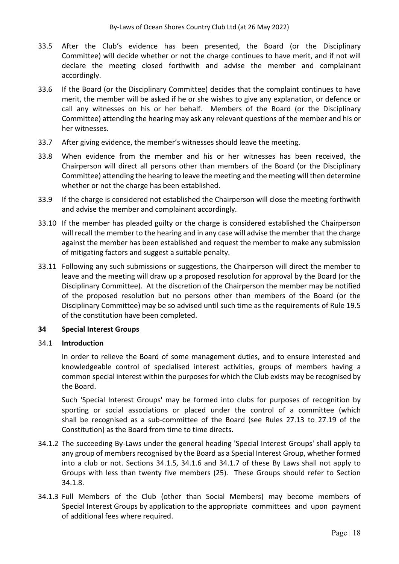- 33.5 After the Club's evidence has been presented, the Board (or the Disciplinary Committee) will decide whether or not the charge continues to have merit, and if not will declare the meeting closed forthwith and advise the member and complainant accordingly.
- 33.6 If the Board (or the Disciplinary Committee) decides that the complaint continues to have merit, the member will be asked if he or she wishes to give any explanation, or defence or call any witnesses on his or her behalf. Members of the Board (or the Disciplinary Committee) attending the hearing may ask any relevant questions of the member and his or her witnesses.
- 33.7 After giving evidence, the member's witnesses should leave the meeting.
- 33.8 When evidence from the member and his or her witnesses has been received, the Chairperson will direct all persons other than members of the Board (or the Disciplinary Committee) attending the hearing to leave the meeting and the meeting will then determine whether or not the charge has been established.
- 33.9 If the charge is considered not established the Chairperson will close the meeting forthwith and advise the member and complainant accordingly.
- 33.10 If the member has pleaded guilty or the charge is considered established the Chairperson will recall the member to the hearing and in any case will advise the member that the charge against the member has been established and request the member to make any submission of mitigating factors and suggest a suitable penalty.
- 33.11 Following any such submissions or suggestions, the Chairperson will direct the member to leave and the meeting will draw up a proposed resolution for approval by the Board (or the Disciplinary Committee). At the discretion of the Chairperson the member may be notified of the proposed resolution but no persons other than members of the Board (or the Disciplinary Committee) may be so advised until such time as the requirements of Rule 19.5 of the constitution have been completed.

## **34 Special Interest Groups**

## 34.1 **Introduction**

In order to relieve the Board of some management duties, and to ensure interested and knowledgeable control of specialised interest activities, groups of members having a common special interest within the purposes for which the Club exists may be recognised by the Board.

Such 'Special Interest Groups' may be formed into clubs for purposes of recognition by sporting or social associations or placed under the control of a committee (which shall be recognised as a sub-committee of the Board (see Rules 27.13 to 27.19 of the Constitution) as the Board from time to time directs.

- 34.1.2 The succeeding By-Laws under the general heading 'Special Interest Groups' shall apply to any group of members recognised by the Board as a Special Interest Group, whether formed into a club or not. Sections 34.1.5, 34.1.6 and 34.1.7 of these By Laws shall not apply to Groups with less than twenty five members (25). These Groups should refer to Section 34.1.8.
- 34.1.3 Full Members of the Club (other than Social Members) may become members of Special Interest Groups by application to the appropriate committees and upon payment of additional fees where required.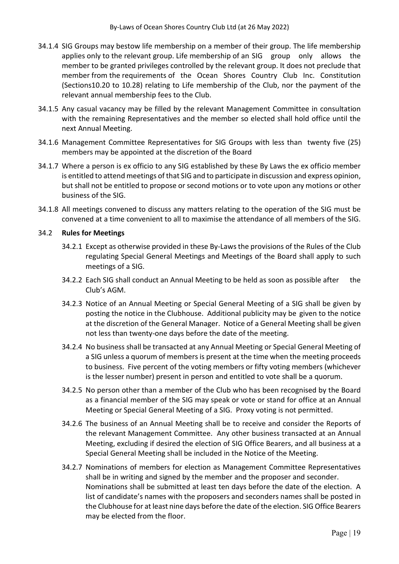- 34.1.4 SIG Groups may bestow life membership on a member of their group. The life membership applies only to the relevant group. Life membership of an SIG group only allows the member to be granted privileges controlled by the relevant group. It does not preclude that member from the requirements of the Ocean Shores Country Club Inc. Constitution (Sections10.20 to 10.28) relating to Life membership of the Club, nor the payment of the relevant annual membership fees to the Club.
- 34.1.5 Any casual vacancy may be filled by the relevant Management Committee in consultation with the remaining Representatives and the member so elected shall hold office until the next Annual Meeting.
- 34.1.6 Management Committee Representatives for SIG Groups with less than twenty five (25) members may be appointed at the discretion of the Board
- 34.1.7 Where a person is ex officio to any SIG established by these By Laws the ex officio member is entitled to attend meetings of that SIG and to participate in discussion and express opinion, but shall not be entitled to propose or second motions or to vote upon any motions or other business of the SIG.
- 34.1.8 All meetings convened to discuss any matters relating to the operation of the SIG must be convened at a time convenient to all to maximise the attendance of all members of the SIG.

## 34.2 **Rules for Meetings**

- 34.2.1 Except as otherwise provided in these By-Laws the provisions of the Rules of the Club regulating Special General Meetings and Meetings of the Board shall apply to such meetings of a SIG.
- 34.2.2 Each SIG shall conduct an Annual Meeting to be held as soon as possible after the Club's AGM.
- 34.2.3 Notice of an Annual Meeting or Special General Meeting of a SIG shall be given by posting the notice in the Clubhouse. Additional publicity may be given to the notice at the discretion of the General Manager. Notice of a General Meeting shall be given not less than twenty-one days before the date of the meeting.
- 34.2.4 No business shall be transacted at any Annual Meeting or Special General Meeting of a SIG unless a quorum of members is present at the time when the meeting proceeds to business. Five percent of the voting members or fifty voting members (whichever is the lesser number) present in person and entitled to vote shall be a quorum.
- 34.2.5 No person other than a member of the Club who has been recognised by the Board as a financial member of the SIG may speak or vote or stand for office at an Annual Meeting or Special General Meeting of a SIG. Proxy voting is not permitted.
- 34.2.6 The business of an Annual Meeting shall be to receive and consider the Reports of the relevant Management Committee. Any other business transacted at an Annual Meeting, excluding if desired the election of SIG Office Bearers, and all business at a Special General Meeting shall be included in the Notice of the Meeting.
- 34.2.7 Nominations of members for election as Management Committee Representatives shall be in writing and signed by the member and the proposer and seconder. Nominations shall be submitted at least ten days before the date of the election. A list of candidate's names with the proposers and seconders names shall be posted in the Clubhouse for at least nine days before the date of the election. SIG Office Bearers may be elected from the floor.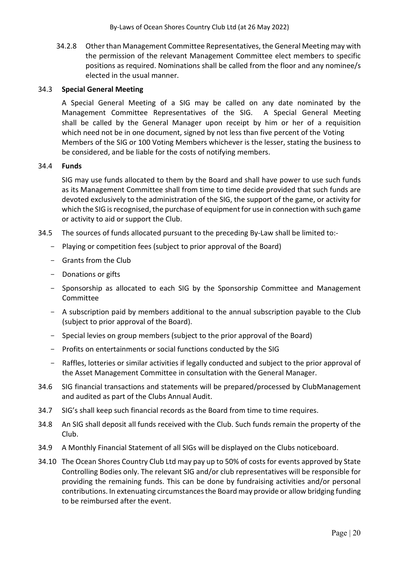34.2.8 Other than Management Committee Representatives, the General Meeting may with the permission of the relevant Management Committee elect members to specific positions as required. Nominations shall be called from the floor and any nominee/s elected in the usual manner.

## 34.3 **Special General Meeting**

A Special General Meeting of a SIG may be called on any date nominated by the Management Committee Representatives of the SIG. A Special General Meeting shall be called by the General Manager upon receipt by him or her of a requisition which need not be in one document, signed by not less than five percent of the Voting Members of the SIG or 100 Voting Members whichever is the lesser, stating the business to be considered, and be liable for the costs of notifying members.

## 34.4 **Funds**

SIG may use funds allocated to them by the Board and shall have power to use such funds as its Management Committee shall from time to time decide provided that such funds are devoted exclusively to the administration of the SIG, the support of the game, or activity for which the SIG is recognised, the purchase of equipment for use in connection with such game or activity to aid or support the Club.

- 34.5 The sources of funds allocated pursuant to the preceding By-Law shall be limited to:-
	- Playing or competition fees (subject to prior approval of the Board)
	- Grants from the Club
	- Donations or gifts
	- Sponsorship as allocated to each SIG by the Sponsorship Committee and Management Committee
	- A subscription paid by members additional to the annual subscription payable to the Club (subject to prior approval of the Board).
	- Special levies on group members (subject to the prior approval of the Board)
	- Profits on entertainments or social functions conducted by the SIG
	- Raffles, lotteries or similar activities if legally conducted and subject to the prior approval of the Asset Management Committee in consultation with the General Manager.
- 34.6 SIG financial transactions and statements will be prepared/processed by ClubManagement and audited as part of the Clubs Annual Audit.
- 34.7 SIG's shall keep such financial records as the Board from time to time requires.
- 34.8 An SIG shall deposit all funds received with the Club. Such funds remain the property of the Club.
- 34.9 A Monthly Financial Statement of all SIGs will be displayed on the Clubs noticeboard.
- 34.10 The Ocean Shores Country Club Ltd may pay up to 50% of costs for events approved by State Controlling Bodies only. The relevant SIG and/or club representatives will be responsible for providing the remaining funds. This can be done by fundraising activities and/or personal contributions. In extenuating circumstances the Board may provide or allow bridging funding to be reimbursed after the event.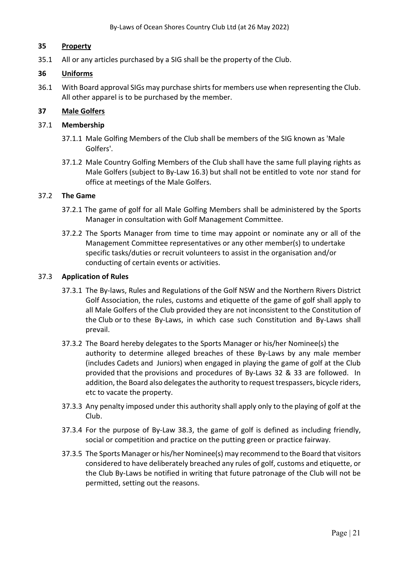## **35 Property**

35.1 All or any articles purchased by a SIG shall be the property of the Club.

## **36 Uniforms**

36.1 With Board approval SIGs may purchase shirts for members use when representing the Club. All other apparel is to be purchased by the member.

## **37 Male Golfers**

## 37.1 **Membership**

- 37.1.1 Male Golfing Members of the Club shall be members of the SIG known as 'Male Golfers'.
- 37.1.2 Male Country Golfing Members of the Club shall have the same full playing rights as Male Golfers (subject to By-Law 16.3) but shall not be entitled to vote nor stand for office at meetings of the Male Golfers.

## 37.2 **The Game**

- 37.2.1 The game of golf for all Male Golfing Members shall be administered by the Sports Manager in consultation with Golf Management Committee.
- 37.2.2 The Sports Manager from time to time may appoint or nominate any or all of the Management Committee representatives or any other member(s) to undertake specific tasks/duties or recruit volunteers to assist in the organisation and/or conducting of certain events or activities.

## 37.3 **Application of Rules**

- 37.3.1 The By-laws, Rules and Regulations of the Golf NSW and the Northern Rivers District Golf Association, the rules, customs and etiquette of the game of golf shall apply to all Male Golfers of the Club provided they are not inconsistent to the Constitution of the Club or to these By-Laws, in which case such Constitution and By-Laws shall prevail.
- 37.3.2 The Board hereby delegates to the Sports Manager or his/her Nominee(s) the authority to determine alleged breaches of these By-Laws by any male member (includes Cadets and Juniors) when engaged in playing the game of golf at the Club provided that the provisions and procedures of By-Laws 32 & 33 are followed. In addition, the Board also delegates the authority to request trespassers, bicycle riders, etc to vacate the property.
- 37.3.3 Any penalty imposed under this authority shall apply only to the playing of golf at the Club.
- 37.3.4 For the purpose of By-Law 38.3, the game of golf is defined as including friendly, social or competition and practice on the putting green or practice fairway.
- 37.3.5 The Sports Manager or his/her Nominee(s) may recommend to the Board that visitors considered to have deliberately breached any rules of golf, customs and etiquette, or the Club By-Laws be notified in writing that future patronage of the Club will not be permitted, setting out the reasons.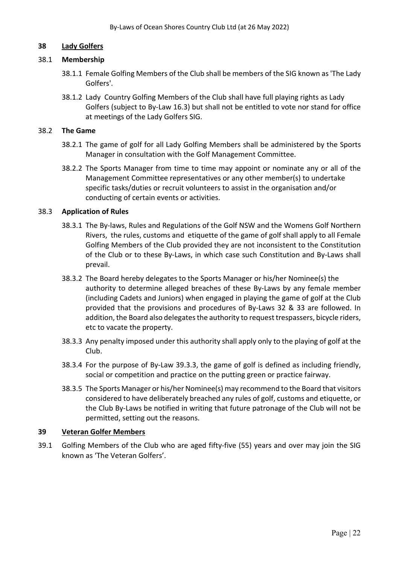## **38 Lady Golfers**

## 38.1 **Membership**

- 38.1.1 Female Golfing Members of the Club shall be members of the SIG known as 'The Lady Golfers'.
- 38.1.2 Lady Country Golfing Members of the Club shall have full playing rights as Lady Golfers (subject to By-Law 16.3) but shall not be entitled to vote nor stand for office at meetings of the Lady Golfers SIG.

## 38.2 **The Game**

- 38.2.1 The game of golf for all Lady Golfing Members shall be administered by the Sports Manager in consultation with the Golf Management Committee.
- 38.2.2 The Sports Manager from time to time may appoint or nominate any or all of the Management Committee representatives or any other member(s) to undertake specific tasks/duties or recruit volunteers to assist in the organisation and/or conducting of certain events or activities.

## 38.3 **Application of Rules**

- 38.3.1 The By-laws, Rules and Regulations of the Golf NSW and the Womens Golf Northern Rivers, the rules, customs and etiquette of the game of golf shall apply to all Female Golfing Members of the Club provided they are not inconsistent to the Constitution of the Club or to these By-Laws, in which case such Constitution and By-Laws shall prevail.
- 38.3.2 The Board hereby delegates to the Sports Manager or his/her Nominee(s) the authority to determine alleged breaches of these By-Laws by any female member (including Cadets and Juniors) when engaged in playing the game of golf at the Club provided that the provisions and procedures of By-Laws 32 & 33 are followed. In addition, the Board also delegates the authority to request trespassers, bicycle riders, etc to vacate the property.
- 38.3.3 Any penalty imposed under this authority shall apply only to the playing of golf at the Club.
- 38.3.4 For the purpose of By-Law 39.3.3, the game of golf is defined as including friendly, social or competition and practice on the putting green or practice fairway.
- 38.3.5 The Sports Manager or his/her Nominee(s) may recommend to the Board that visitors considered to have deliberately breached any rules of golf, customs and etiquette, or the Club By-Laws be notified in writing that future patronage of the Club will not be permitted, setting out the reasons.

## **39 Veteran Golfer Members**

39.1 Golfing Members of the Club who are aged fifty-five (55) years and over may join the SIG known as 'The Veteran Golfers'.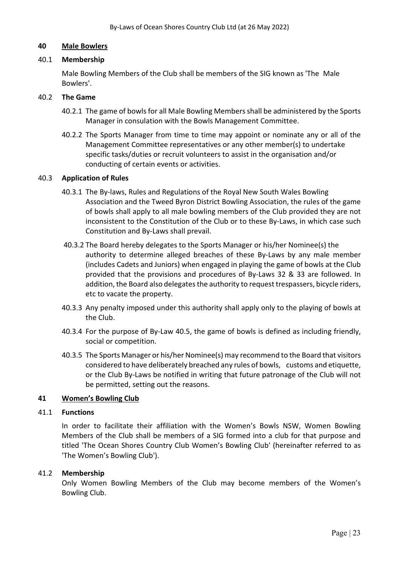#### **40 Male Bowlers**

### 40.1 **Membership**

Male Bowling Members of the Club shall be members of the SIG known as 'The Male Bowlers'.

#### 40.2 **The Game**

- 40.2.1 The game of bowls for all Male Bowling Members shall be administered by the Sports Manager in consulation with the Bowls Management Committee.
- 40.2.2 The Sports Manager from time to time may appoint or nominate any or all of the Management Committee representatives or any other member(s) to undertake specific tasks/duties or recruit volunteers to assist in the organisation and/or conducting of certain events or activities.

#### 40.3 **Application of Rules**

- 40.3.1 The By-laws, Rules and Regulations of the Royal New South Wales Bowling Association and the Tweed Byron District Bowling Association, the rules of the game of bowls shall apply to all male bowling members of the Club provided they are not inconsistent to the Constitution of the Club or to these By-Laws, in which case such Constitution and By-Laws shall prevail.
- 40.3.2 The Board hereby delegates to the Sports Manager or his/her Nominee(s) the authority to determine alleged breaches of these By-Laws by any male member (includes Cadets and Juniors) when engaged in playing the game of bowls at the Club provided that the provisions and procedures of By-Laws 32 & 33 are followed. In addition, the Board also delegates the authority to request trespassers, bicycle riders, etc to vacate the property.
- 40.3.3 Any penalty imposed under this authority shall apply only to the playing of bowls at the Club.
- 40.3.4 For the purpose of By-Law 40.5, the game of bowls is defined as including friendly, social or competition.
- 40.3.5 The Sports Manager or his/her Nominee(s) may recommend to the Board that visitors considered to have deliberately breached any rules of bowls, customs and etiquette, or the Club By-Laws be notified in writing that future patronage of the Club will not be permitted, setting out the reasons.

## **41 Women's Bowling Club**

#### 41.1 **Functions**

In order to facilitate their affiliation with the Women's Bowls NSW, Women Bowling Members of the Club shall be members of a SIG formed into a club for that purpose and titled 'The Ocean Shores Country Club Women's Bowling Club' (hereinafter referred to as 'The Women's Bowling Club').

#### 41.2 **Membership**

Only Women Bowling Members of the Club may become members of the Women's Bowling Club.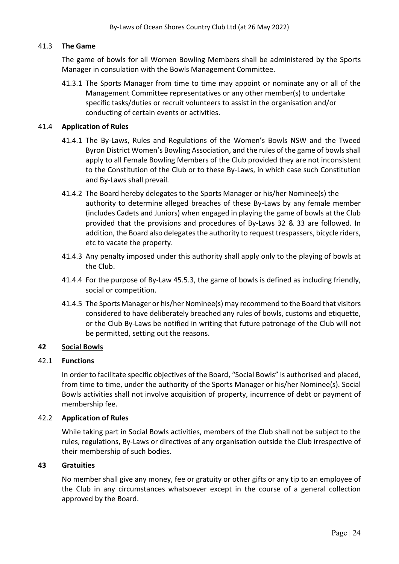## 41.3 **The Game**

The game of bowls for all Women Bowling Members shall be administered by the Sports Manager in consulation with the Bowls Management Committee.

41.3.1 The Sports Manager from time to time may appoint or nominate any or all of the Management Committee representatives or any other member(s) to undertake specific tasks/duties or recruit volunteers to assist in the organisation and/or conducting of certain events or activities.

## 41.4 **Application of Rules**

- 41.4.1 The By-Laws, Rules and Regulations of the Women's Bowls NSW and the Tweed Byron District Women's Bowling Association, and the rules of the game of bowls shall apply to all Female Bowling Members of the Club provided they are not inconsistent to the Constitution of the Club or to these By-Laws, in which case such Constitution and By-Laws shall prevail.
- 41.4.2 The Board hereby delegates to the Sports Manager or his/her Nominee(s) the authority to determine alleged breaches of these By-Laws by any female member (includes Cadets and Juniors) when engaged in playing the game of bowls at the Club provided that the provisions and procedures of By-Laws 32 & 33 are followed. In addition, the Board also delegates the authority to request trespassers, bicycle riders, etc to vacate the property.
- 41.4.3 Any penalty imposed under this authority shall apply only to the playing of bowls at the Club.
- 41.4.4 For the purpose of By-Law 45.5.3, the game of bowls is defined as including friendly, social or competition.
- 41.4.5 The Sports Manager or his/her Nominee(s) may recommend to the Board that visitors considered to have deliberately breached any rules of bowls, customs and etiquette, or the Club By-Laws be notified in writing that future patronage of the Club will not be permitted, setting out the reasons.

## **42 Social Bowls**

## 42.1 **Functions**

In order to facilitate specific objectives of the Board, "Social Bowls" is authorised and placed, from time to time, under the authority of the Sports Manager or his/her Nominee(s). Social Bowls activities shall not involve acquisition of property, incurrence of debt or payment of membership fee.

## 42.2 **Application of Rules**

While taking part in Social Bowls activities, members of the Club shall not be subject to the rules, regulations, By-Laws or directives of any organisation outside the Club irrespective of their membership of such bodies.

## **43 Gratuities**

No member shall give any money, fee or gratuity or other gifts or any tip to an employee of the Club in any circumstances whatsoever except in the course of a general collection approved by the Board.